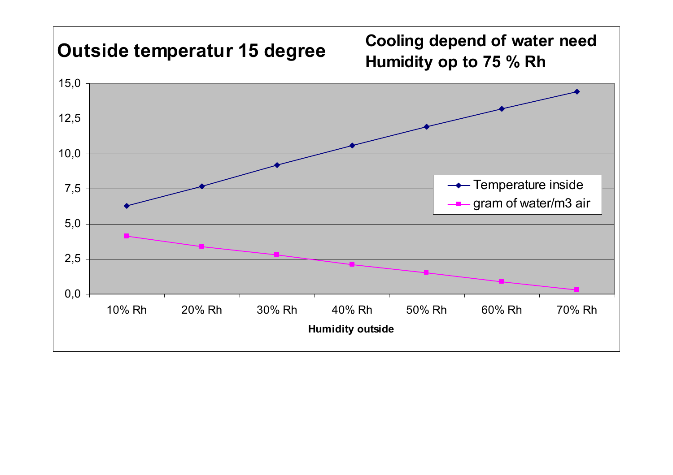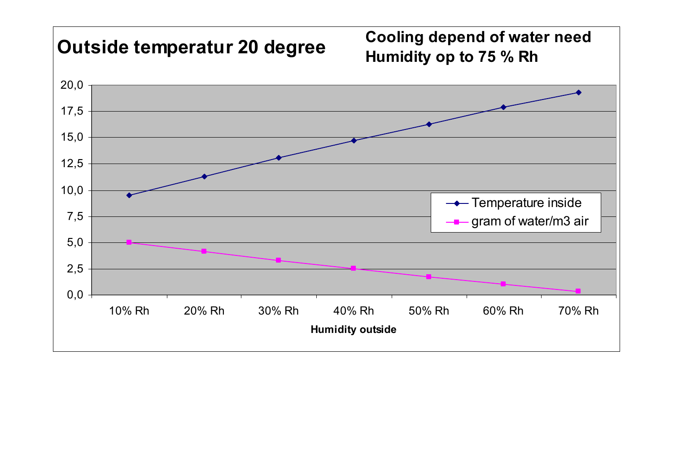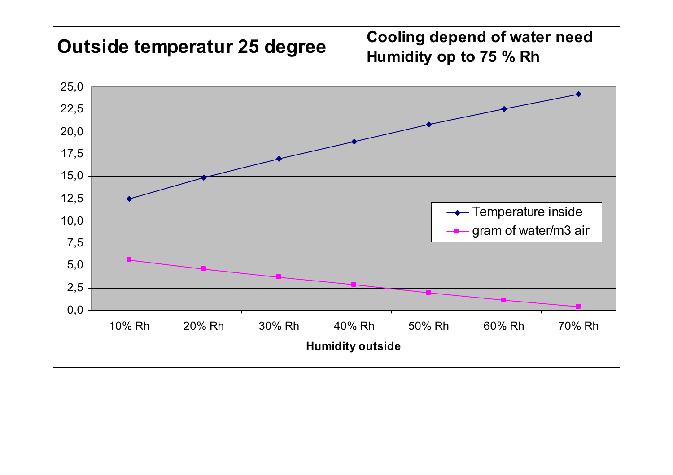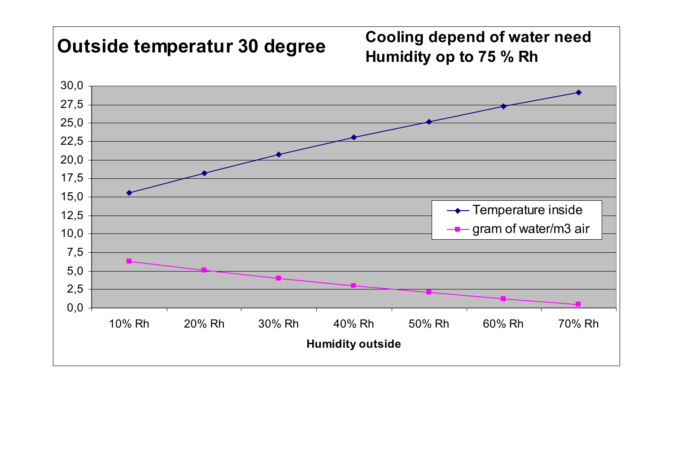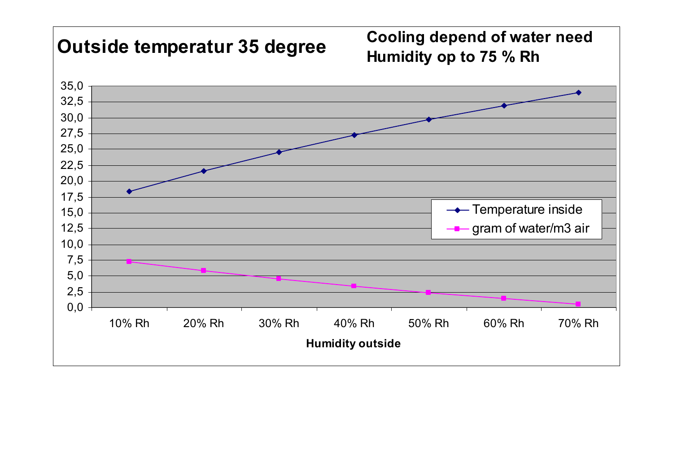